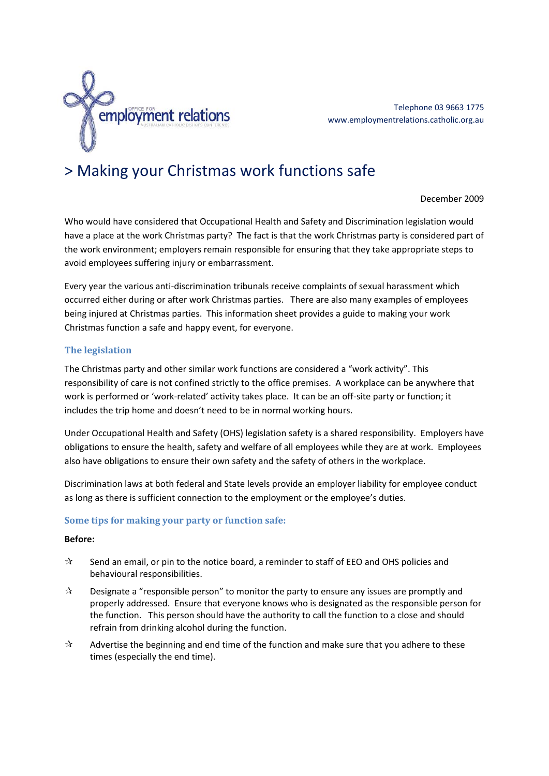

Telephone 03 9663 1775 www.employmentrelations.catholic.org.au

# > Making your Christmas work functions safe

December 2009

Who would have considered that Occupational Health and Safety and Discrimination legislation would have a place at the work Christmas party? The fact is that the work Christmas party is considered part of the work environment; employers remain responsible for ensuring that they take appropriate steps to avoid employees suffering injury or embarrassment.

Every year the various anti‐discrimination tribunals receive complaints of sexual harassment which occurred either during or after work Christmas parties. There are also many examples of employees being injured at Christmas parties. This information sheet provides a guide to making your work Christmas function a safe and happy event, for everyone.

### **The legislation**

The Christmas party and other similar work functions are considered a "work activity". This responsibility of care is not confined strictly to the office premises. A workplace can be anywhere that work is performed or 'work-related' activity takes place. It can be an off-site party or function; it includes the trip home and doesn't need to be in normal working hours.

Under Occupational Health and Safety (OHS) legislation safety is a shared responsibility. Employers have obligations to ensure the health, safety and welfare of all employees while they are at work. Employees also have obligations to ensure their own safety and the safety of others in the workplace.

Discrimination laws at both federal and State levels provide an employer liability for employee conduct as long as there is sufficient connection to the employment or the employee's duties.

#### **Some tips for making your party or function safe:**

#### **Before:**

- $\mathcal{R}$  Send an email, or pin to the notice board, a reminder to staff of EEO and OHS policies and behavioural responsibilities.
- $\mathcal{A}$  Designate a "responsible person" to monitor the party to ensure any issues are promptly and properly addressed. Ensure that everyone knows who is designated as the responsible person for the function. This person should have the authority to call the function to a close and should refrain from drinking alcohol during the function.
- $\mathbf{\hat{x}}$  Advertise the beginning and end time of the function and make sure that you adhere to these times (especially the end time).